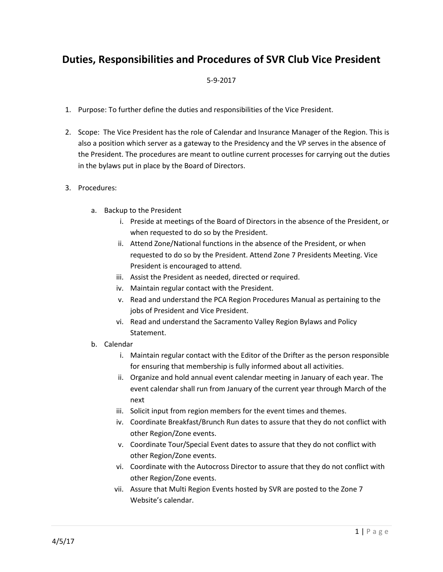## **Duties, Responsibilities and Procedures of SVR Club Vice President**

## 5-9-2017

- 1. Purpose: To further define the duties and responsibilities of the Vice President.
- 2. Scope: The Vice President has the role of Calendar and Insurance Manager of the Region. This is also a position which server as a gateway to the Presidency and the VP serves in the absence of the President. The procedures are meant to outline current processes for carrying out the duties in the bylaws put in place by the Board of Directors.
- 3. Procedures:
	- a. Backup to the President
		- i. Preside at meetings of the Board of Directors in the absence of the President, or when requested to do so by the President.
		- ii. Attend Zone/National functions in the absence of the President, or when requested to do so by the President. Attend Zone 7 Presidents Meeting. Vice President is encouraged to attend.
		- iii. Assist the President as needed, directed or required.
		- iv. Maintain regular contact with the President.
		- v. Read and understand the PCA Region Procedures Manual as pertaining to the jobs of President and Vice President.
		- vi. Read and understand the Sacramento Valley Region Bylaws and Policy Statement.
	- b. Calendar
		- i. Maintain regular contact with the Editor of the Drifter as the person responsible for ensuring that membership is fully informed about all activities.
		- ii. Organize and hold annual event calendar meeting in January of each year. The event calendar shall run from January of the current year through March of the next
		- iii. Solicit input from region members for the event times and themes.
		- iv. Coordinate Breakfast/Brunch Run dates to assure that they do not conflict with other Region/Zone events.
		- v. Coordinate Tour/Special Event dates to assure that they do not conflict with other Region/Zone events.
		- vi. Coordinate with the Autocross Director to assure that they do not conflict with other Region/Zone events.
		- vii. Assure that Multi Region Events hosted by SVR are posted to the Zone 7 Website's calendar.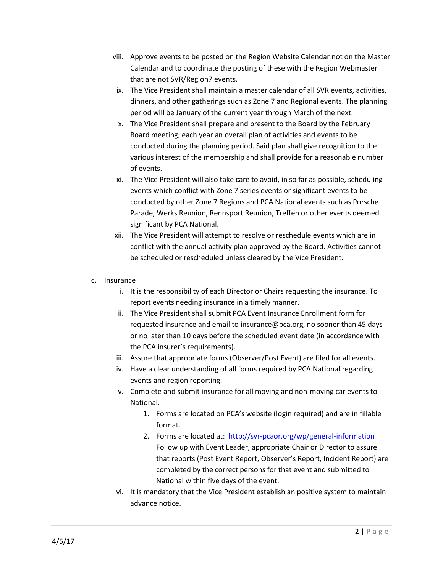- viii. Approve events to be posted on the Region Website Calendar not on the Master Calendar and to coordinate the posting of these with the Region Webmaster that are not SVR/Region7 events.
- ix. The Vice President shall maintain a master calendar of all SVR events, activities, dinners, and other gatherings such as Zone 7 and Regional events. The planning period will be January of the current year through March of the next.
- x. The Vice President shall prepare and present to the Board by the February Board meeting, each year an overall plan of activities and events to be conducted during the planning period. Said plan shall give recognition to the various interest of the membership and shall provide for a reasonable number of events.
- xi. The Vice President will also take care to avoid, in so far as possible, scheduling events which conflict with Zone 7 series events or significant events to be conducted by other Zone 7 Regions and PCA National events such as Porsche Parade, Werks Reunion, Rennsport Reunion, Treffen or other events deemed significant by PCA National.
- xii. The Vice President will attempt to resolve or reschedule events which are in conflict with the annual activity plan approved by the Board. Activities cannot be scheduled or rescheduled unless cleared by the Vice President.
- c. Insurance
	- i. It is the responsibility of each Director or Chairs requesting the insurance. To report events needing insurance in a timely manner.
	- ii. The Vice President shall submit PCA Event Insurance Enrollment form for requested insurance and email to insurance@pca.org, no sooner than 45 days or no later than 10 days before the scheduled event date (in accordance with the PCA insurer's requirements).
	- iii. Assure that appropriate forms (Observer/Post Event) are filed for all events.
	- iv. Have a clear understanding of all forms required by PCA National regarding events and region reporting.
	- v. Complete and submit insurance for all moving and non-moving car events to National.
		- 1. Forms are located on PCA's website (login required) and are in fillable format.
		- 2. Forms are located at: <http://svr-pcaor.org/wp/general-information> Follow up with Event Leader, appropriate Chair or Director to assure that reports (Post Event Report, Observer's Report, Incident Report) are completed by the correct persons for that event and submitted to National within five days of the event.
	- vi. It is mandatory that the Vice President establish an positive system to maintain advance notice.